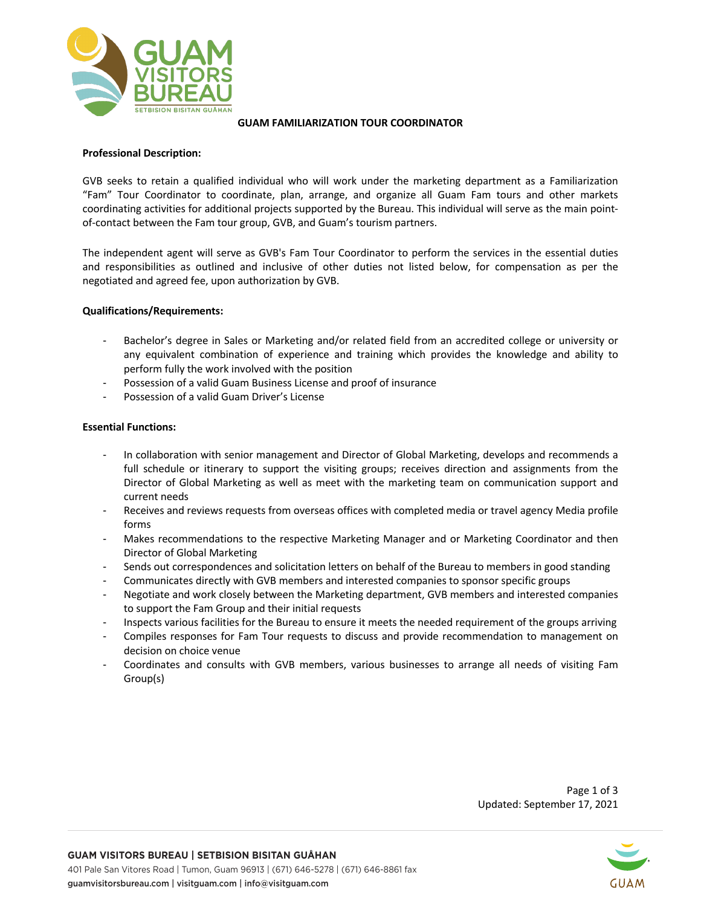

#### **GUAM FAMILIARIZATION TOUR COORDINATOR**

### **Professional Description:**

GVB seeks to retain a qualified individual who will work under the marketing department as a Familiarization "Fam" Tour Coordinator to coordinate, plan, arrange, and organize all Guam Fam tours and other markets coordinating activities for additional projects supported by the Bureau. This individual will serve as the main pointof-contact between the Fam tour group, GVB, and Guam's tourism partners.

The independent agent will serve as GVB's Fam Tour Coordinator to perform the services in the essential duties and responsibilities as outlined and inclusive of other duties not listed below, for compensation as per the negotiated and agreed fee, upon authorization by GVB.

#### **Qualifications/Requirements:**

- Bachelor's degree in Sales or Marketing and/or related field from an accredited college or university or any equivalent combination of experience and training which provides the knowledge and ability to perform fully the work involved with the position
- Possession of a valid Guam Business License and proof of insurance
- Possession of a valid Guam Driver's License

#### **Essential Functions:**

- In collaboration with senior management and Director of Global Marketing, develops and recommends a full schedule or itinerary to support the visiting groups; receives direction and assignments from the Director of Global Marketing as well as meet with the marketing team on communication support and current needs
- Receives and reviews requests from overseas offices with completed media or travel agency Media profile forms
- Makes recommendations to the respective Marketing Manager and or Marketing Coordinator and then Director of Global Marketing
- Sends out correspondences and solicitation letters on behalf of the Bureau to members in good standing
- Communicates directly with GVB members and interested companies to sponsor specific groups
- Negotiate and work closely between the Marketing department, GVB members and interested companies to support the Fam Group and their initial requests
- Inspects various facilities for the Bureau to ensure it meets the needed requirement of the groups arriving
- Compiles responses for Fam Tour requests to discuss and provide recommendation to management on decision on choice venue
- Coordinates and consults with GVB members, various businesses to arrange all needs of visiting Fam Group(s)

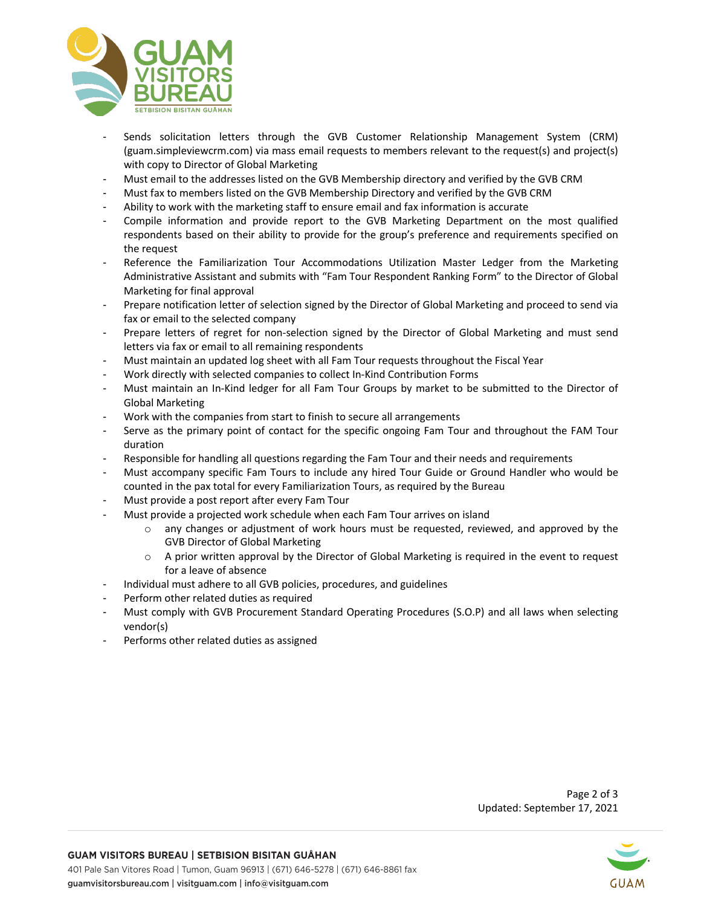

- Sends solicitation letters through the GVB Customer Relationship Management System (CRM) (guam.simpleviewcrm.com) via mass email requests to members relevant to the request(s) and project(s) with copy to Director of Global Marketing
- Must email to the addresses listed on the GVB Membership directory and verified by the GVB CRM
- Must fax to members listed on the GVB Membership Directory and verified by the GVB CRM
- Ability to work with the marketing staff to ensure email and fax information is accurate
- Compile information and provide report to the GVB Marketing Department on the most qualified respondents based on their ability to provide for the group's preference and requirements specified on the request
- Reference the Familiarization Tour Accommodations Utilization Master Ledger from the Marketing Administrative Assistant and submits with "Fam Tour Respondent Ranking Form" to the Director of Global Marketing for final approval
- Prepare notification letter of selection signed by the Director of Global Marketing and proceed to send via fax or email to the selected company
- Prepare letters of regret for non-selection signed by the Director of Global Marketing and must send letters via fax or email to all remaining respondents
- Must maintain an updated log sheet with all Fam Tour requests throughout the Fiscal Year
- Work directly with selected companies to collect In-Kind Contribution Forms
- Must maintain an In-Kind ledger for all Fam Tour Groups by market to be submitted to the Director of Global Marketing
- Work with the companies from start to finish to secure all arrangements
- Serve as the primary point of contact for the specific ongoing Fam Tour and throughout the FAM Tour duration
- Responsible for handling all questions regarding the Fam Tour and their needs and requirements
- Must accompany specific Fam Tours to include any hired Tour Guide or Ground Handler who would be counted in the pax total for every Familiarization Tours, as required by the Bureau
- Must provide a post report after every Fam Tour
- Must provide a projected work schedule when each Fam Tour arrives on island
	- o any changes or adjustment of work hours must be requested, reviewed, and approved by the GVB Director of Global Marketing
	- $\circ$  A prior written approval by the Director of Global Marketing is required in the event to request for a leave of absence
	- Individual must adhere to all GVB policies, procedures, and guidelines
- Perform other related duties as required
- Must comply with GVB Procurement Standard Operating Procedures (S.O.P) and all laws when selecting vendor(s)
- Performs other related duties as assigned



Page 2 of 3